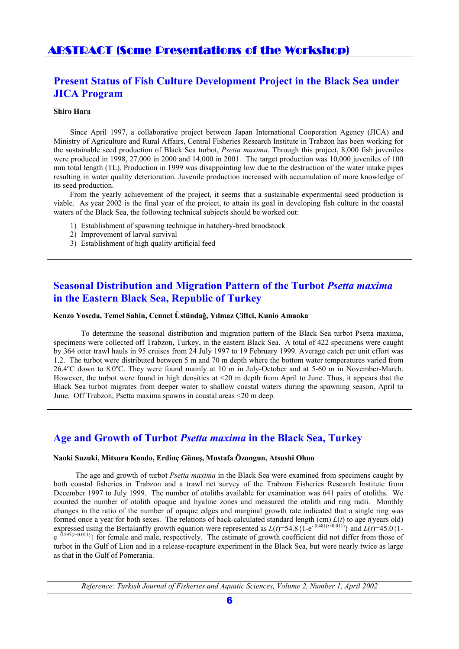# ABSTRACT (Some Presentations of the Workshop)

# **Present Status of Fish Culture Development Project in the Black Sea under JICA Program**

### **Shiro Hara**

Since April 1997, a collaborative project between Japan International Cooperation Agency (JICA) and Ministry of Agriculture and Rural Affairs, Central Fisheries Research Institute in Trabzon has been working for the sustainable seed production of Black Sea turbot, *Psetta maxima*. Through this project, 8,000 fish juveniles were produced in 1998, 27,000 in 2000 and 14,000 in 2001. The target production was 10,000 juveniles of 100 mm total length (TL). Production in 1999 was disappointing low due to the destruction of the water intake pipes resulting in water quality deterioration. Juvenile production increased with accumulation of more knowledge of its seed production.

From the yearly achievement of the project, it seems that a sustainable experimental seed production is viable. As year 2002 is the final year of the project, to attain its goal in developing fish culture in the coastal waters of the Black Sea, the following technical subjects should be worked out:

- 1) Establishment of spawning technique in hatchery-bred broodstock
- 2) Improvement of larval survival
- 3) Establishment of high quality artificial feed

# **Seasonal Distribution and Migration Pattern of the Turbot** *Psetta maxima* **in the Eastern Black Sea, Republic of Turkey**

## **Kenzo Yoseda, Temel Sahin, Cennet Üstündağ, Yılmaz Çiftci, Kunio Amaoka**

To determine the seasonal distribution and migration pattern of the Black Sea turbot Psetta maxima, specimens were collected off Trabzon, Turkey, in the eastern Black Sea. A total of 422 specimens were caught by 364 otter trawl hauls in 95 cruises from 24 July 1997 to 19 February 1999. Average catch per unit effort was 1.2. The turbot were distributed between 5 m and 70 m depth where the bottom water temperatures varied from 26.4ºC down to 8.0ºC. They were found mainly at 10 m in July-October and at 5-60 m in November-March. However, the turbot were found in high densities at <20 m depth from April to June. Thus, it appears that the Black Sea turbot migrates from deeper water to shallow coastal waters during the spawning season, April to June. Off Trabzon, Psetta maxima spawns in coastal areas <20 m deep.

## **Age and Growth of Turbot** *Psetta maxima* **in the Black Sea, Turkey**

### **Naoki Suzuki, Mitsuru Kondo, Erdinç Güneş, Mustafa Özongun, Atsushi Ohno**

The age and growth of turbot *Psetta maxima* in the Black Sea were examined from specimens caught by both coastal fisheries in Trabzon and a trawl net survey of the Trabzon Fisheries Research Institute from December 1997 to July 1999. The number of otoliths available for examination was 641 pairs of otoliths. We counted the number of otolith opaque and hyaline zones and measured the otolith and ring radii. Monthly changes in the ratio of the number of opaque edges and marginal growth rate indicated that a single ring was formed once a year for both sexes. The relations of back-calculated standard length (cm)  $L(t)$  to age  $t$ (years old) expressed using the Bertalanffy growth equation were represented as  $L(t)=54.8\{1-e^{-0.481(t+0.011)}\}\$  and  $L(t)=45.0\{1-e^{-0.481(t+0.011)}\}\$  $e^{-0.597(t+0.011)}$ } for female and male, respectively. The estimate of growth coefficient did not differ from those of turbot in the Gulf of Lion and in a release-recapture experiment in the Black Sea, but were nearly twice as large as that in the Gulf of Pomerania.

*Reference: Turkish Journal of Fisheries and Aquatic Sciences, Volume 2, Number 1, April 2002*